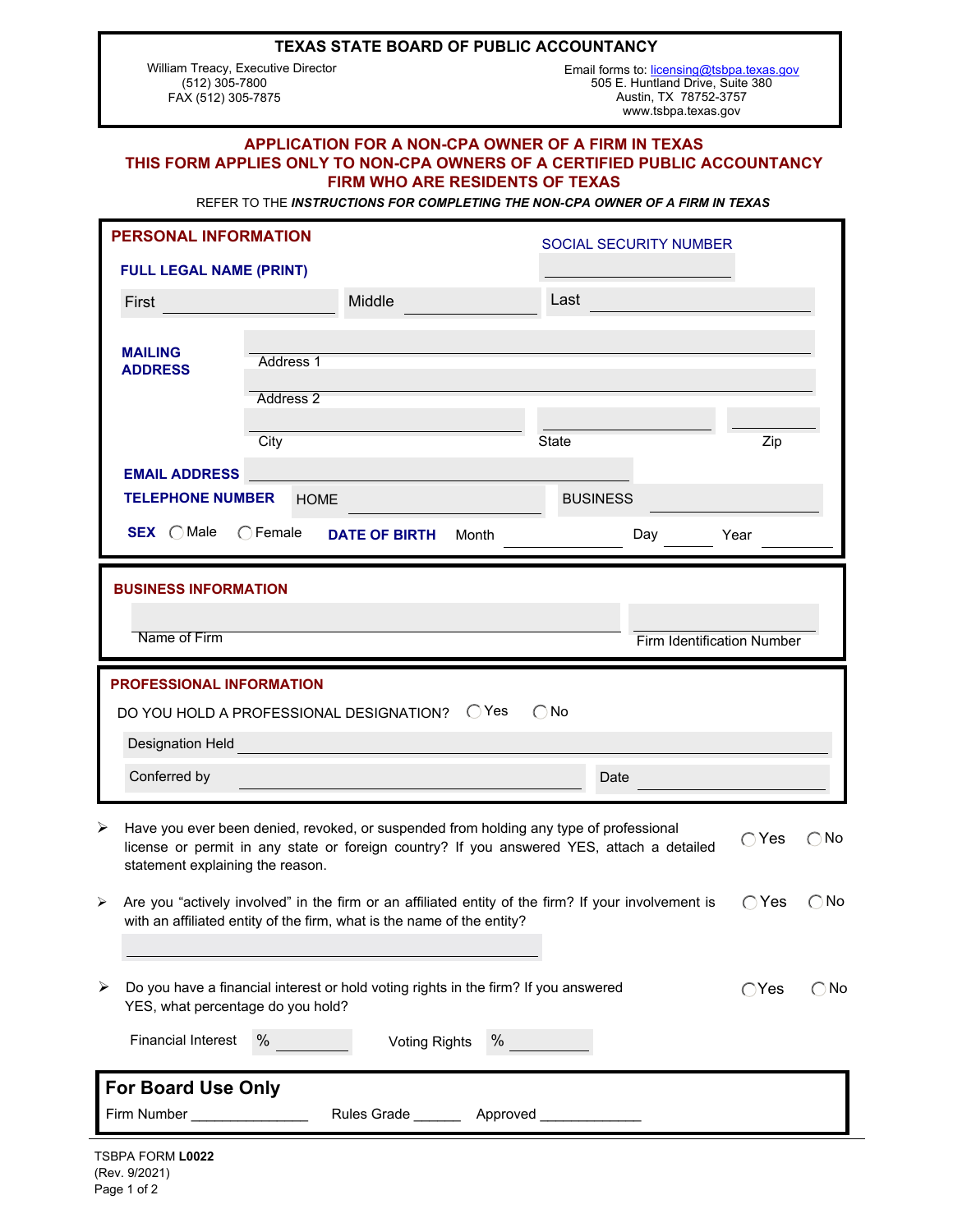#### **TEXAS STATE BOARD OF PUBLIC ACCOUNTANCY**

 William Treacy, Executive Director (512) 305-7800 FAX (512) 305-7875

www.tsbpa.texas.gov Austin, TX 78752-3757 505 E. Huntland Drive, Suite 380 Email forms to: [licensing@tsbpa.texas.gov](mailto:licensing@tsbpa.texas.gov)

### **APPLICATION FOR A NON-CPA OWNER OF A FIRM IN TEXAS THIS FORM APPLIES ONLY TO NON-CPA OWNERS OF A CERTIFIED PUBLIC ACCOUNTANCY FIRM WHO ARE RESIDENTS OF TEXAS**

REFER TO THE *INSTRUCTIONS FOR COMPLETING THE NON-CPA OWNER OF A FIRM IN TEXAS*

| <b>PERSONAL INFORMATION</b>                                                                                                                                                                                                                                     | <b>SOCIAL SECURITY NUMBER</b> |                      |       |              |                                 |      |                       |  |
|-----------------------------------------------------------------------------------------------------------------------------------------------------------------------------------------------------------------------------------------------------------------|-------------------------------|----------------------|-------|--------------|---------------------------------|------|-----------------------|--|
| <b>FULL LEGAL NAME (PRINT)</b>                                                                                                                                                                                                                                  |                               |                      |       |              |                                 |      |                       |  |
| First                                                                                                                                                                                                                                                           |                               | Middle               |       | Last         |                                 |      |                       |  |
|                                                                                                                                                                                                                                                                 |                               |                      |       |              |                                 |      |                       |  |
| <b>MAILING</b><br><b>ADDRESS</b>                                                                                                                                                                                                                                | Address 1                     |                      |       |              |                                 |      |                       |  |
|                                                                                                                                                                                                                                                                 | Address <sub>2</sub>          |                      |       |              |                                 |      |                       |  |
|                                                                                                                                                                                                                                                                 |                               |                      |       |              |                                 |      |                       |  |
|                                                                                                                                                                                                                                                                 | <b>State</b><br>City          |                      |       |              | Zip                             |      |                       |  |
| <b>EMAIL ADDRESS</b>                                                                                                                                                                                                                                            |                               |                      |       |              |                                 |      |                       |  |
| <b>TELEPHONE NUMBER</b><br><b>BUSINESS</b><br><b>HOME</b>                                                                                                                                                                                                       |                               |                      |       |              |                                 |      |                       |  |
| SEX OMale                                                                                                                                                                                                                                                       | $\bigcirc$ Female             | <b>DATE OF BIRTH</b> | Month | $\mathbf{r}$ | Day<br>$\vert \mathbf{v} \vert$ | Year | $\blacktriangleright$ |  |
| <b>BUSINESS INFORMATION</b><br>Name of Firm                                                                                                                                                                                                                     |                               |                      |       |              |                                 |      |                       |  |
| Firm Identification Number                                                                                                                                                                                                                                      |                               |                      |       |              |                                 |      |                       |  |
| PROFESSIONAL INFORMATION                                                                                                                                                                                                                                        |                               |                      |       |              |                                 |      |                       |  |
| DO YOU HOLD A PROFESSIONAL DESIGNATION? O Yes<br>$\bigcirc$ No                                                                                                                                                                                                  |                               |                      |       |              |                                 |      |                       |  |
| Designation Held                                                                                                                                                                                                                                                |                               |                      |       |              |                                 |      |                       |  |
| Conferred by                                                                                                                                                                                                                                                    | Date                          |                      |       |              |                                 |      |                       |  |
| ➤<br>Have you ever been denied, revoked, or suspended from holding any type of professional<br>$\bigcirc$ Yes<br>$\bigcirc$ No<br>license or permit in any state or foreign country? If you answered YES, attach a detailed<br>statement explaining the reason. |                               |                      |       |              |                                 |      |                       |  |
| $\bigcirc$ No<br>Are you "actively involved" in the firm or an affiliated entity of the firm? If your involvement is<br>$\bigcirc$ Yes<br>➤<br>with an affiliated entity of the firm, what is the name of the entity?                                           |                               |                      |       |              |                                 |      |                       |  |
| Do you have a financial interest or hold voting rights in the firm? If you answered<br>➤<br>$\bigcirc$ Yes<br>$\bigcirc$ No<br>YES, what percentage do you hold?                                                                                                |                               |                      |       |              |                                 |      |                       |  |
| <b>Financial Interest</b><br>%<br>$\%$<br><b>Voting Rights</b>                                                                                                                                                                                                  |                               |                      |       |              |                                 |      |                       |  |
| For Board Use Only                                                                                                                                                                                                                                              |                               |                      |       |              |                                 |      |                       |  |
| Firm Number _________________<br>Rules Grade _________ Approved ______________                                                                                                                                                                                  |                               |                      |       |              |                                 |      |                       |  |